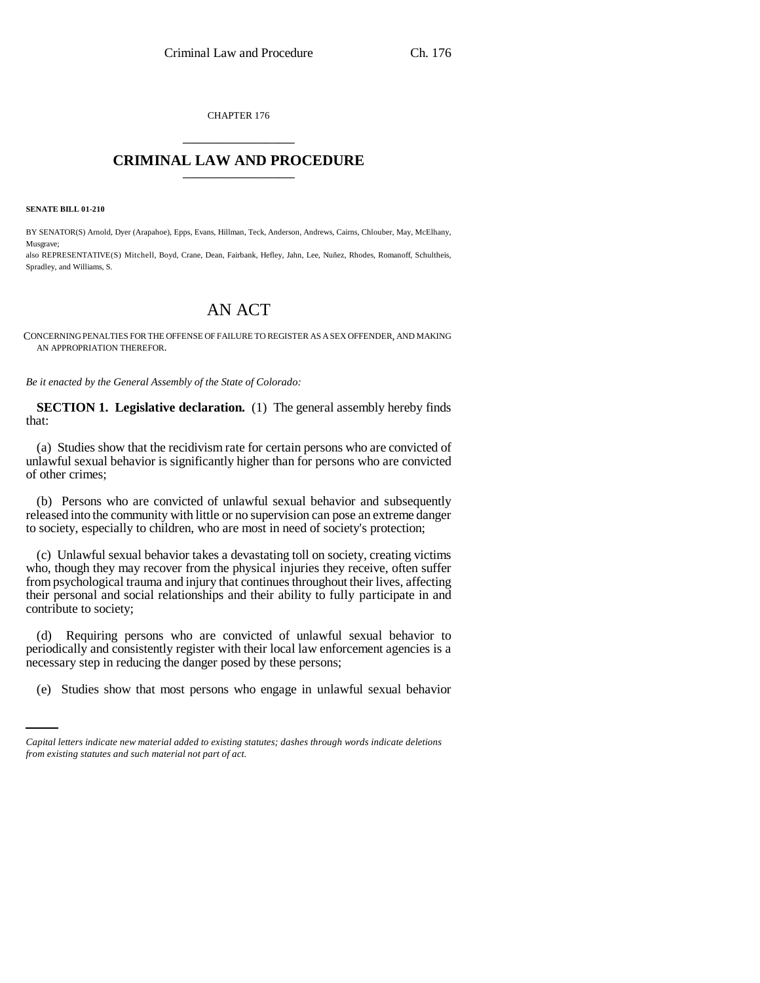CHAPTER 176 \_\_\_\_\_\_\_\_\_\_\_\_\_\_\_

## **CRIMINAL LAW AND PROCEDURE** \_\_\_\_\_\_\_\_\_\_\_\_\_\_\_

**SENATE BILL 01-210**

BY SENATOR(S) Arnold, Dyer (Arapahoe), Epps, Evans, Hillman, Teck, Anderson, Andrews, Cairns, Chlouber, May, McElhany, Musgrave;

also REPRESENTATIVE(S) Mitchell, Boyd, Crane, Dean, Fairbank, Hefley, Jahn, Lee, Nuñez, Rhodes, Romanoff, Schultheis, Spradley, and Williams, S.

## AN ACT

CONCERNING PENALTIES FOR THE OFFENSE OF FAILURE TO REGISTER AS A SEX OFFENDER, AND MAKING AN APPROPRIATION THEREFOR.

*Be it enacted by the General Assembly of the State of Colorado:*

**SECTION 1. Legislative declaration.** (1) The general assembly hereby finds that:

(a) Studies show that the recidivism rate for certain persons who are convicted of unlawful sexual behavior is significantly higher than for persons who are convicted of other crimes;

(b) Persons who are convicted of unlawful sexual behavior and subsequently released into the community with little or no supervision can pose an extreme danger to society, especially to children, who are most in need of society's protection;

(c) Unlawful sexual behavior takes a devastating toll on society, creating victims who, though they may recover from the physical injuries they receive, often suffer from psychological trauma and injury that continues throughout their lives, affecting their personal and social relationships and their ability to fully participate in and contribute to society;

necessary step in reducing the danger posed by these persons; (d) Requiring persons who are convicted of unlawful sexual behavior to periodically and consistently register with their local law enforcement agencies is a

(e) Studies show that most persons who engage in unlawful sexual behavior

*Capital letters indicate new material added to existing statutes; dashes through words indicate deletions from existing statutes and such material not part of act.*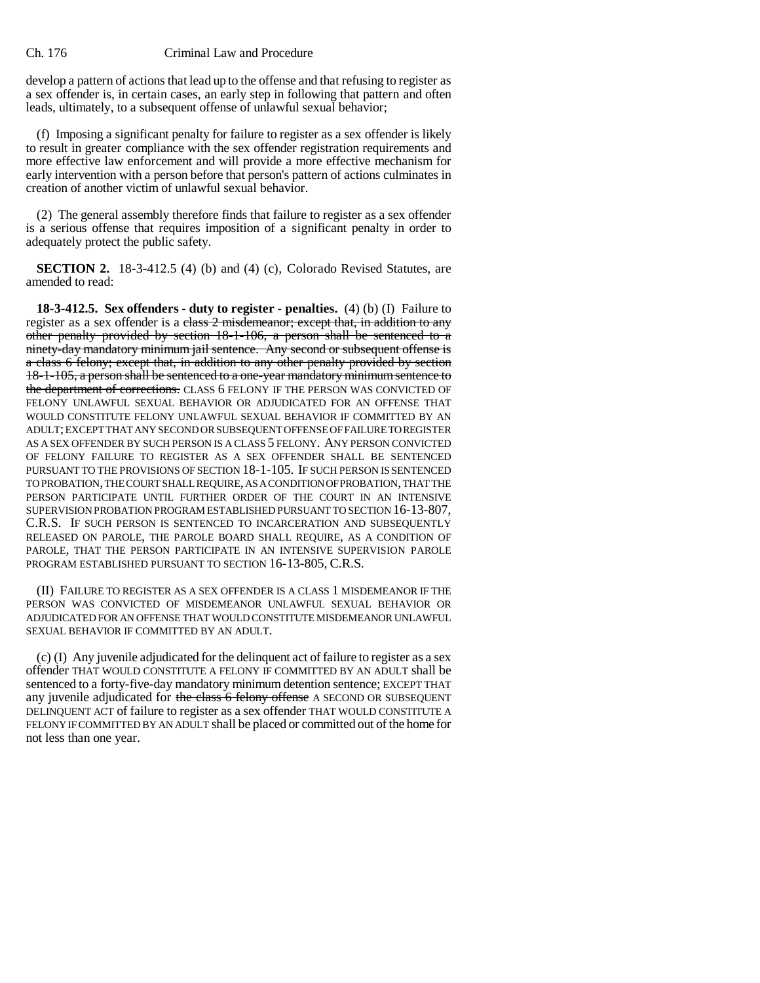## Ch. 176 Criminal Law and Procedure

develop a pattern of actions that lead up to the offense and that refusing to register as a sex offender is, in certain cases, an early step in following that pattern and often leads, ultimately, to a subsequent offense of unlawful sexual behavior;

(f) Imposing a significant penalty for failure to register as a sex offender is likely to result in greater compliance with the sex offender registration requirements and more effective law enforcement and will provide a more effective mechanism for early intervention with a person before that person's pattern of actions culminates in creation of another victim of unlawful sexual behavior.

(2) The general assembly therefore finds that failure to register as a sex offender is a serious offense that requires imposition of a significant penalty in order to adequately protect the public safety.

**SECTION 2.** 18-3-412.5 (4) (b) and (4) (c), Colorado Revised Statutes, are amended to read:

**18-3-412.5. Sex offenders - duty to register - penalties.** (4) (b) (I) Failure to register as a sex offender is a class 2 misdemeanor; except that, in addition to any other penalty provided by section 18-1-106, a person shall be sentenced to a ninety-day mandatory minimum jail sentence. Any second or subsequent offense is a class 6 felony; except that, in addition to any other penalty provided by section 18-1-105, a person shall be sentenced to a one-year mandatory minimum sentence to the department of corrections. CLASS 6 FELONY IF THE PERSON WAS CONVICTED OF FELONY UNLAWFUL SEXUAL BEHAVIOR OR ADJUDICATED FOR AN OFFENSE THAT WOULD CONSTITUTE FELONY UNLAWFUL SEXUAL BEHAVIOR IF COMMITTED BY AN ADULT; EXCEPT THAT ANY SECOND OR SUBSEQUENT OFFENSE OF FAILURE TO REGISTER AS A SEX OFFENDER BY SUCH PERSON IS A CLASS 5 FELONY. ANY PERSON CONVICTED OF FELONY FAILURE TO REGISTER AS A SEX OFFENDER SHALL BE SENTENCED PURSUANT TO THE PROVISIONS OF SECTION 18-1-105. IF SUCH PERSON IS SENTENCED TO PROBATION, THE COURT SHALL REQUIRE, AS A CONDITION OF PROBATION, THAT THE PERSON PARTICIPATE UNTIL FURTHER ORDER OF THE COURT IN AN INTENSIVE SUPERVISION PROBATION PROGRAM ESTABLISHED PURSUANT TO SECTION 16-13-807, C.R.S. IF SUCH PERSON IS SENTENCED TO INCARCERATION AND SUBSEQUENTLY RELEASED ON PAROLE, THE PAROLE BOARD SHALL REQUIRE, AS A CONDITION OF PAROLE, THAT THE PERSON PARTICIPATE IN AN INTENSIVE SUPERVISION PAROLE PROGRAM ESTABLISHED PURSUANT TO SECTION 16-13-805, C.R.S.

(II) FAILURE TO REGISTER AS A SEX OFFENDER IS A CLASS 1 MISDEMEANOR IF THE PERSON WAS CONVICTED OF MISDEMEANOR UNLAWFUL SEXUAL BEHAVIOR OR ADJUDICATED FOR AN OFFENSE THAT WOULD CONSTITUTE MISDEMEANOR UNLAWFUL SEXUAL BEHAVIOR IF COMMITTED BY AN ADULT.

(c) (I) Any juvenile adjudicated for the delinquent act of failure to register as a sex offender THAT WOULD CONSTITUTE A FELONY IF COMMITTED BY AN ADULT shall be sentenced to a forty-five-day mandatory minimum detention sentence; EXCEPT THAT any juvenile adjudicated for the class 6 felony offense A SECOND OR SUBSEQUENT DELINQUENT ACT of failure to register as a sex offender THAT WOULD CONSTITUTE A FELONY IF COMMITTED BY AN ADULT shall be placed or committed out of the home for not less than one year.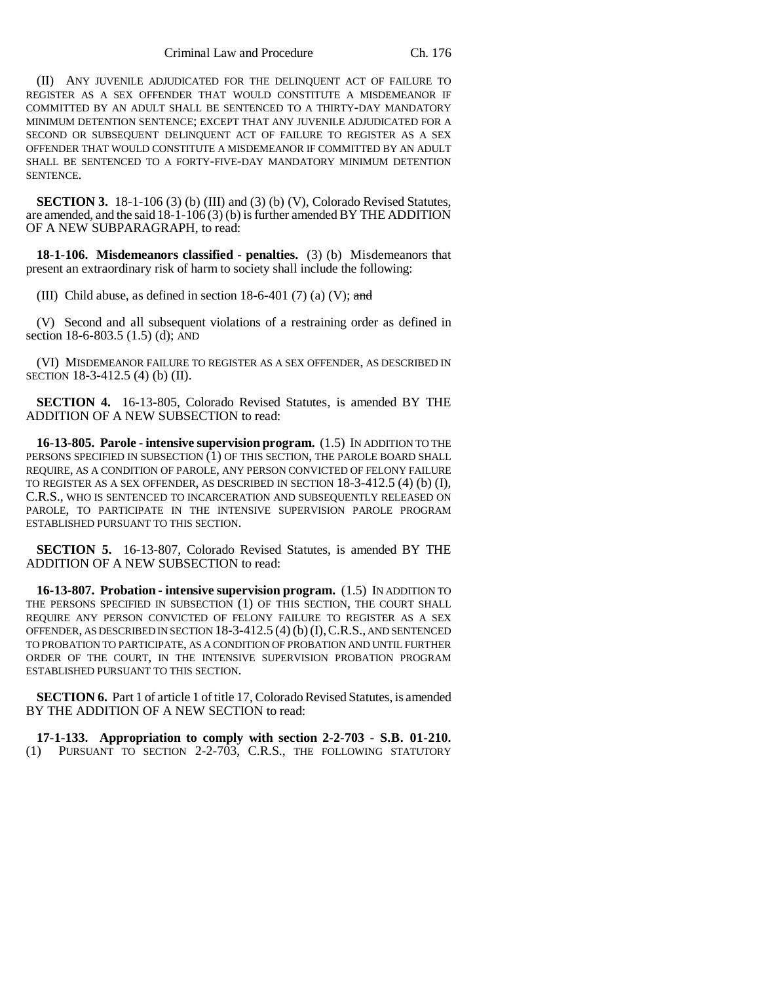(II) ANY JUVENILE ADJUDICATED FOR THE DELINQUENT ACT OF FAILURE TO REGISTER AS A SEX OFFENDER THAT WOULD CONSTITUTE A MISDEMEANOR IF COMMITTED BY AN ADULT SHALL BE SENTENCED TO A THIRTY-DAY MANDATORY MINIMUM DETENTION SENTENCE; EXCEPT THAT ANY JUVENILE ADJUDICATED FOR A SECOND OR SUBSEQUENT DELINQUENT ACT OF FAILURE TO REGISTER AS A SEX OFFENDER THAT WOULD CONSTITUTE A MISDEMEANOR IF COMMITTED BY AN ADULT SHALL BE SENTENCED TO A FORTY-FIVE-DAY MANDATORY MINIMUM DETENTION **SENTENCE.** 

**SECTION 3.** 18-1-106 (3) (b) (III) and (3) (b) (V), Colorado Revised Statutes, are amended, and the said 18-1-106 (3) (b) is further amended BY THE ADDITION OF A NEW SUBPARAGRAPH, to read:

**18-1-106. Misdemeanors classified - penalties.** (3) (b) Misdemeanors that present an extraordinary risk of harm to society shall include the following:

(III) Child abuse, as defined in section  $18-6-401$  (7) (a) (V); and

(V) Second and all subsequent violations of a restraining order as defined in section 18-6-803.5 (1.5) (d); AND

(VI) MISDEMEANOR FAILURE TO REGISTER AS A SEX OFFENDER, AS DESCRIBED IN SECTION 18-3-412.5 (4) (b) (II).

**SECTION 4.** 16-13-805, Colorado Revised Statutes, is amended BY THE ADDITION OF A NEW SUBSECTION to read:

**16-13-805. Parole - intensive supervision program.** (1.5) IN ADDITION TO THE PERSONS SPECIFIED IN SUBSECTION  $(1)$  OF THIS SECTION, THE PAROLE BOARD SHALL REQUIRE, AS A CONDITION OF PAROLE, ANY PERSON CONVICTED OF FELONY FAILURE TO REGISTER AS A SEX OFFENDER, AS DESCRIBED IN SECTION 18-3-412.5 (4) (b) (I), C.R.S., WHO IS SENTENCED TO INCARCERATION AND SUBSEQUENTLY RELEASED ON PAROLE, TO PARTICIPATE IN THE INTENSIVE SUPERVISION PAROLE PROGRAM ESTABLISHED PURSUANT TO THIS SECTION.

**SECTION 5.** 16-13-807, Colorado Revised Statutes, is amended BY THE ADDITION OF A NEW SUBSECTION to read:

**16-13-807. Probation - intensive supervision program.** (1.5) IN ADDITION TO THE PERSONS SPECIFIED IN SUBSECTION (1) OF THIS SECTION, THE COURT SHALL REQUIRE ANY PERSON CONVICTED OF FELONY FAILURE TO REGISTER AS A SEX OFFENDER, AS DESCRIBED IN SECTION 18-3-412.5 (4) (b)(I),C.R.S., AND SENTENCED TO PROBATION TO PARTICIPATE, AS A CONDITION OF PROBATION AND UNTIL FURTHER ORDER OF THE COURT, IN THE INTENSIVE SUPERVISION PROBATION PROGRAM ESTABLISHED PURSUANT TO THIS SECTION.

**SECTION 6.** Part 1 of article 1 of title 17, Colorado Revised Statutes, is amended BY THE ADDITION OF A NEW SECTION to read:

**17-1-133. Appropriation to comply with section 2-2-703 - S.B. 01-210.** (1) PURSUANT TO SECTION 2-2-703, C.R.S., THE FOLLOWING STATUTORY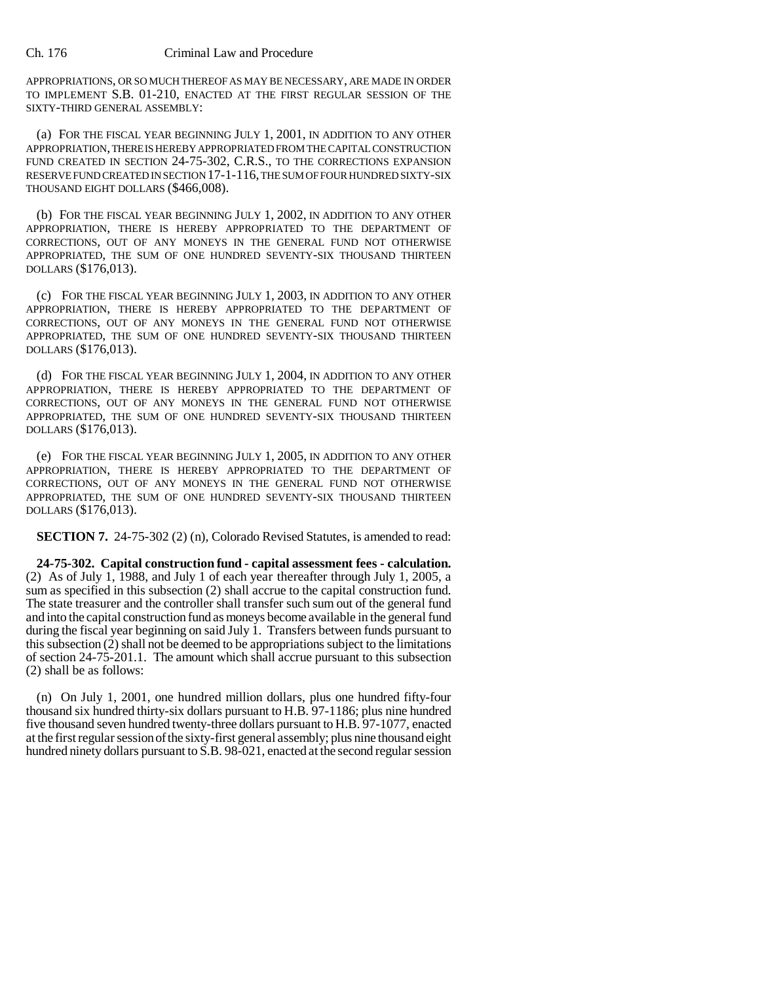## Ch. 176 Criminal Law and Procedure

APPROPRIATIONS, OR SO MUCH THEREOF AS MAY BE NECESSARY, ARE MADE IN ORDER TO IMPLEMENT S.B. 01-210, ENACTED AT THE FIRST REGULAR SESSION OF THE SIXTY-THIRD GENERAL ASSEMBLY:

(a) FOR THE FISCAL YEAR BEGINNING JULY 1, 2001, IN ADDITION TO ANY OTHER APPROPRIATION, THERE IS HEREBY APPROPRIATED FROM THE CAPITAL CONSTRUCTION FUND CREATED IN SECTION 24-75-302, C.R.S., TO THE CORRECTIONS EXPANSION RESERVE FUND CREATED IN SECTION 17-1-116, THE SUM OF FOUR HUNDRED SIXTY-SIX THOUSAND EIGHT DOLLARS (\$466,008).

(b) FOR THE FISCAL YEAR BEGINNING JULY 1, 2002, IN ADDITION TO ANY OTHER APPROPRIATION, THERE IS HEREBY APPROPRIATED TO THE DEPARTMENT OF CORRECTIONS, OUT OF ANY MONEYS IN THE GENERAL FUND NOT OTHERWISE APPROPRIATED, THE SUM OF ONE HUNDRED SEVENTY-SIX THOUSAND THIRTEEN DOLLARS (\$176,013).

(c) FOR THE FISCAL YEAR BEGINNING JULY 1, 2003, IN ADDITION TO ANY OTHER APPROPRIATION, THERE IS HEREBY APPROPRIATED TO THE DEPARTMENT OF CORRECTIONS, OUT OF ANY MONEYS IN THE GENERAL FUND NOT OTHERWISE APPROPRIATED, THE SUM OF ONE HUNDRED SEVENTY-SIX THOUSAND THIRTEEN DOLLARS (\$176,013).

(d) FOR THE FISCAL YEAR BEGINNING JULY 1, 2004, IN ADDITION TO ANY OTHER APPROPRIATION, THERE IS HEREBY APPROPRIATED TO THE DEPARTMENT OF CORRECTIONS, OUT OF ANY MONEYS IN THE GENERAL FUND NOT OTHERWISE APPROPRIATED, THE SUM OF ONE HUNDRED SEVENTY-SIX THOUSAND THIRTEEN DOLLARS (\$176,013).

(e) FOR THE FISCAL YEAR BEGINNING JULY 1, 2005, IN ADDITION TO ANY OTHER APPROPRIATION, THERE IS HEREBY APPROPRIATED TO THE DEPARTMENT OF CORRECTIONS, OUT OF ANY MONEYS IN THE GENERAL FUND NOT OTHERWISE APPROPRIATED, THE SUM OF ONE HUNDRED SEVENTY-SIX THOUSAND THIRTEEN DOLLARS (\$176,013).

**SECTION 7.** 24-75-302 (2) (n), Colorado Revised Statutes, is amended to read:

**24-75-302. Capital construction fund - capital assessment fees - calculation.** (2) As of July 1, 1988, and July 1 of each year thereafter through July 1, 2005, a sum as specified in this subsection (2) shall accrue to the capital construction fund. The state treasurer and the controller shall transfer such sum out of the general fund and into the capital construction fund as moneys become available in the general fund during the fiscal year beginning on said July 1. Transfers between funds pursuant to this subsection (2) shall not be deemed to be appropriations subject to the limitations of section 24-75-201.1. The amount which shall accrue pursuant to this subsection (2) shall be as follows:

(n) On July 1, 2001, one hundred million dollars, plus one hundred fifty-four thousand six hundred thirty-six dollars pursuant to H.B. 97-1186; plus nine hundred five thousand seven hundred twenty-three dollars pursuant to H.B. 97-1077, enacted at the first regular session of the sixty-first general assembly; plus nine thousand eight hundred ninety dollars pursuant to S.B. 98-021, enacted at the second regular session